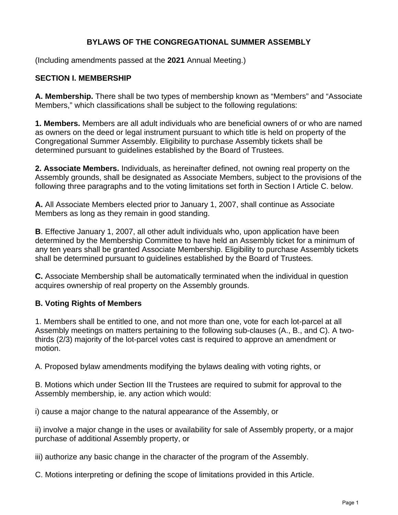### **BYLAWS OF THE CONGREGATIONAL SUMMER ASSEMBLY**

(Including amendments passed at the **2021** Annual Meeting.)

#### **SECTION I. MEMBERSHIP**

**A. Membership.** There shall be two types of membership known as "Members" and "Associate Members," which classifications shall be subject to the following regulations:

**1. Members.** Members are all adult individuals who are beneficial owners of or who are named as owners on the deed or legal instrument pursuant to which title is held on property of the Congregational Summer Assembly. Eligibility to purchase Assembly tickets shall be determined pursuant to guidelines established by the Board of Trustees.

**2. Associate Members.** Individuals, as hereinafter defined, not owning real property on the Assembly grounds, shall be designated as Associate Members, subject to the provisions of the following three paragraphs and to the voting limitations set forth in Section I Article C. below.

**A.** All Associate Members elected prior to January 1, 2007, shall continue as Associate Members as long as they remain in good standing.

**B**. Effective January 1, 2007, all other adult individuals who, upon application have been determined by the Membership Committee to have held an Assembly ticket for a minimum of any ten years shall be granted Associate Membership. Eligibility to purchase Assembly tickets shall be determined pursuant to guidelines established by the Board of Trustees.

**C.** Associate Membership shall be automatically terminated when the individual in question acquires ownership of real property on the Assembly grounds.

### **B. Voting Rights of Members**

1. Members shall be entitled to one, and not more than one, vote for each lot-parcel at all Assembly meetings on matters pertaining to the following sub-clauses (A., B., and C). A twothirds (2/3) majority of the lot-parcel votes cast is required to approve an amendment or motion.

A. Proposed bylaw amendments modifying the bylaws dealing with voting rights, or

B. Motions which under Section III the Trustees are required to submit for approval to the Assembly membership, ie. any action which would:

i) cause a major change to the natural appearance of the Assembly, or

ii) involve a major change in the uses or availability for sale of Assembly property, or a major purchase of additional Assembly property, or

iii) authorize any basic change in the character of the program of the Assembly.

C. Motions interpreting or defining the scope of limitations provided in this Article.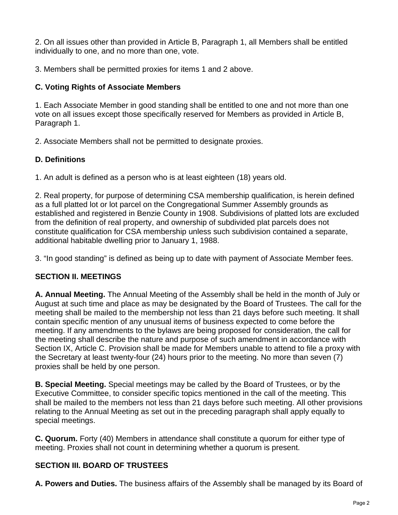2. On all issues other than provided in Article B, Paragraph 1, all Members shall be entitled individually to one, and no more than one, vote.

3. Members shall be permitted proxies for items 1 and 2 above.

# **C. Voting Rights of Associate Members**

1. Each Associate Member in good standing shall be entitled to one and not more than one vote on all issues except those specifically reserved for Members as provided in Article B, Paragraph 1.

2. Associate Members shall not be permitted to designate proxies.

# **D. Definitions**

1. An adult is defined as a person who is at least eighteen (18) years old.

2. Real property, for purpose of determining CSA membership qualification, is herein defined as a full platted lot or lot parcel on the Congregational Summer Assembly grounds as established and registered in Benzie County in 1908. Subdivisions of platted lots are excluded from the definition of real property, and ownership of subdivided plat parcels does not constitute qualification for CSA membership unless such subdivision contained a separate, additional habitable dwelling prior to January 1, 1988.

3. "In good standing" is defined as being up to date with payment of Associate Member fees.

# **SECTION II. MEETINGS**

**A. Annual Meeting.** The Annual Meeting of the Assembly shall be held in the month of July or August at such time and place as may be designated by the Board of Trustees. The call for the meeting shall be mailed to the membership not less than 21 days before such meeting. It shall contain specific mention of any unusual items of business expected to come before the meeting. If any amendments to the bylaws are being proposed for consideration, the call for the meeting shall describe the nature and purpose of such amendment in accordance with Section IX, Article C. Provision shall be made for Members unable to attend to file a proxy with the Secretary at least twenty-four (24) hours prior to the meeting. No more than seven (7) proxies shall be held by one person.

**B. Special Meeting.** Special meetings may be called by the Board of Trustees, or by the Executive Committee, to consider specific topics mentioned in the call of the meeting. This shall be mailed to the members not less than 21 days before such meeting. All other provisions relating to the Annual Meeting as set out in the preceding paragraph shall apply equally to special meetings.

**C. Quorum.** Forty (40) Members in attendance shall constitute a quorum for either type of meeting. Proxies shall not count in determining whether a quorum is present.

# **SECTION III. BOARD OF TRUSTEES**

**A. Powers and Duties.** The business affairs of the Assembly shall be managed by its Board of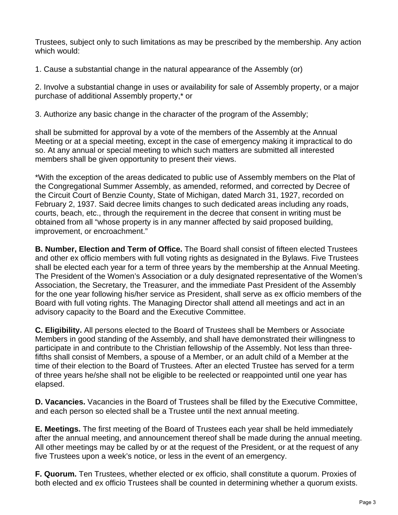Trustees, subject only to such limitations as may be prescribed by the membership. Any action which would:

1. Cause a substantial change in the natural appearance of the Assembly (or)

2. Involve a substantial change in uses or availability for sale of Assembly property, or a major purchase of additional Assembly property,\* or

3. Authorize any basic change in the character of the program of the Assembly;

shall be submitted for approval by a vote of the members of the Assembly at the Annual Meeting or at a special meeting, except in the case of emergency making it impractical to do so. At any annual or special meeting to which such matters are submitted all interested members shall be given opportunity to present their views.

\*With the exception of the areas dedicated to public use of Assembly members on the Plat of the Congregational Summer Assembly, as amended, reformed, and corrected by Decree of the Circuit Court of Benzie County, State of Michigan, dated March 31, 1927, recorded on February 2, 1937. Said decree limits changes to such dedicated areas including any roads, courts, beach, etc., through the requirement in the decree that consent in writing must be obtained from all "whose property is in any manner affected by said proposed building, improvement, or encroachment."

**B. Number, Election and Term of Office.** The Board shall consist of fifteen elected Trustees and other ex officio members with full voting rights as designated in the Bylaws. Five Trustees shall be elected each year for a term of three years by the membership at the Annual Meeting. The President of the Women's Association or a duly designated representative of the Women's Association, the Secretary, the Treasurer, and the immediate Past President of the Assembly for the one year following his/her service as President, shall serve as ex officio members of the Board with full voting rights. The Managing Director shall attend all meetings and act in an advisory capacity to the Board and the Executive Committee.

**C. Eligibility.** All persons elected to the Board of Trustees shall be Members or Associate Members in good standing of the Assembly, and shall have demonstrated their willingness to participate in and contribute to the Christian fellowship of the Assembly. Not less than threefifths shall consist of Members, a spouse of a Member, or an adult child of a Member at the time of their election to the Board of Trustees. After an elected Trustee has served for a term of three years he/she shall not be eligible to be reelected or reappointed until one year has elapsed.

**D. Vacancies.** Vacancies in the Board of Trustees shall be filled by the Executive Committee, and each person so elected shall be a Trustee until the next annual meeting.

**E. Meetings.** The first meeting of the Board of Trustees each year shall be held immediately after the annual meeting, and announcement thereof shall be made during the annual meeting. All other meetings may be called by or at the request of the President, or at the request of any five Trustees upon a week's notice, or less in the event of an emergency.

**F. Quorum.** Ten Trustees, whether elected or ex officio, shall constitute a quorum. Proxies of both elected and ex officio Trustees shall be counted in determining whether a quorum exists.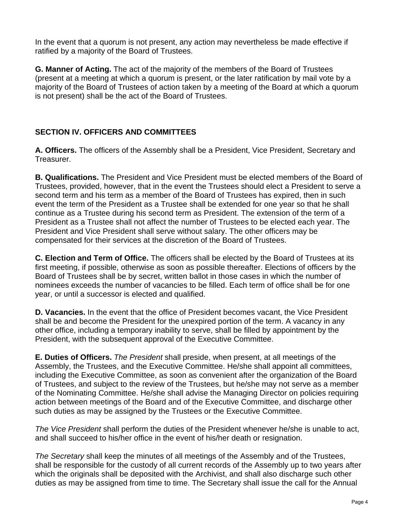In the event that a quorum is not present, any action may nevertheless be made effective if ratified by a majority of the Board of Trustees.

**G. Manner of Acting.** The act of the majority of the members of the Board of Trustees (present at a meeting at which a quorum is present, or the later ratification by mail vote by a majority of the Board of Trustees of action taken by a meeting of the Board at which a quorum is not present) shall be the act of the Board of Trustees.

### **SECTION IV. OFFICERS AND COMMITTEES**

**A. Officers.** The officers of the Assembly shall be a President, Vice President, Secretary and Treasurer.

**B. Qualifications.** The President and Vice President must be elected members of the Board of Trustees, provided, however, that in the event the Trustees should elect a President to serve a second term and his term as a member of the Board of Trustees has expired, then in such event the term of the President as a Trustee shall be extended for one year so that he shall continue as a Trustee during his second term as President. The extension of the term of a President as a Trustee shall not affect the number of Trustees to be elected each year. The President and Vice President shall serve without salary. The other officers may be compensated for their services at the discretion of the Board of Trustees.

**C. Election and Term of Office.** The officers shall be elected by the Board of Trustees at its first meeting, if possible, otherwise as soon as possible thereafter. Elections of officers by the Board of Trustees shall be by secret, written ballot in those cases in which the number of nominees exceeds the number of vacancies to be filled. Each term of office shall be for one year, or until a successor is elected and qualified.

**D. Vacancies.** In the event that the office of President becomes vacant, the Vice President shall be and become the President for the unexpired portion of the term. A vacancy in any other office, including a temporary inability to serve, shall be filled by appointment by the President, with the subsequent approval of the Executive Committee.

**E. Duties of Officers.** *The President* shall preside, when present, at all meetings of the Assembly, the Trustees, and the Executive Committee. He/she shall appoint all committees, including the Executive Committee, as soon as convenient after the organization of the Board of Trustees, and subject to the review of the Trustees, but he/she may not serve as a member of the Nominating Committee. He/she shall advise the Managing Director on policies requiring action between meetings of the Board and of the Executive Committee, and discharge other such duties as may be assigned by the Trustees or the Executive Committee.

*The Vice President* shall perform the duties of the President whenever he/she is unable to act, and shall succeed to his/her office in the event of his/her death or resignation.

*The Secretary* shall keep the minutes of all meetings of the Assembly and of the Trustees, shall be responsible for the custody of all current records of the Assembly up to two years after which the originals shall be deposited with the Archivist, and shall also discharge such other duties as may be assigned from time to time. The Secretary shall issue the call for the Annual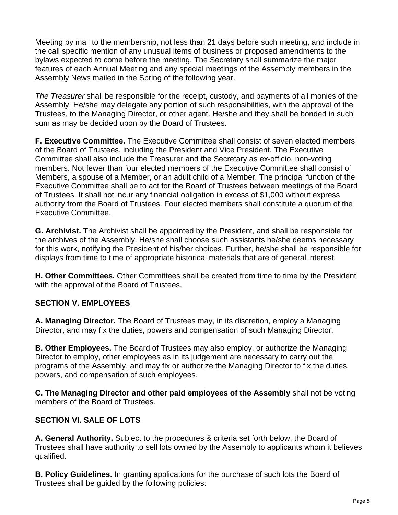Meeting by mail to the membership, not less than 21 days before such meeting, and include in the call specific mention of any unusual items of business or proposed amendments to the bylaws expected to come before the meeting. The Secretary shall summarize the major features of each Annual Meeting and any special meetings of the Assembly members in the Assembly News mailed in the Spring of the following year.

*The Treasurer* shall be responsible for the receipt, custody, and payments of all monies of the Assembly. He/she may delegate any portion of such responsibilities, with the approval of the Trustees, to the Managing Director, or other agent. He/she and they shall be bonded in such sum as may be decided upon by the Board of Trustees.

**F. Executive Committee.** The Executive Committee shall consist of seven elected members of the Board of Trustees, including the President and Vice President. The Executive Committee shall also include the Treasurer and the Secretary as ex-officio, non-voting members. Not fewer than four elected members of the Executive Committee shall consist of Members, a spouse of a Member, or an adult child of a Member. The principal function of the Executive Committee shall be to act for the Board of Trustees between meetings of the Board of Trustees. It shall not incur any financial obligation in excess of \$1,000 without express authority from the Board of Trustees. Four elected members shall constitute a quorum of the Executive Committee.

**G. Archivist.** The Archivist shall be appointed by the President, and shall be responsible for the archives of the Assembly. He/she shall choose such assistants he/she deems necessary for this work, notifying the President of his/her choices. Further, he/she shall be responsible for displays from time to time of appropriate historical materials that are of general interest.

**H. Other Committees.** Other Committees shall be created from time to time by the President with the approval of the Board of Trustees.

### **SECTION V. EMPLOYEES**

**A. Managing Director.** The Board of Trustees may, in its discretion, employ a Managing Director, and may fix the duties, powers and compensation of such Managing Director.

**B. Other Employees.** The Board of Trustees may also employ, or authorize the Managing Director to employ, other employees as in its judgement are necessary to carry out the programs of the Assembly, and may fix or authorize the Managing Director to fix the duties, powers, and compensation of such employees.

**C. The Managing Director and other paid employees of the Assembly** shall not be voting members of the Board of Trustees.

# **SECTION VI. SALE OF LOTS**

**A. General Authority.** Subject to the procedures & criteria set forth below, the Board of Trustees shall have authority to sell lots owned by the Assembly to applicants whom it believes qualified.

**B. Policy Guidelines.** In granting applications for the purchase of such lots the Board of Trustees shall be guided by the following policies: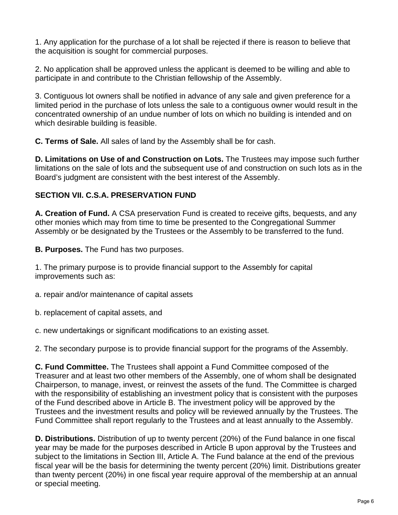1. Any application for the purchase of a lot shall be rejected if there is reason to believe that the acquisition is sought for commercial purposes.

2. No application shall be approved unless the applicant is deemed to be willing and able to participate in and contribute to the Christian fellowship of the Assembly.

3. Contiguous lot owners shall be notified in advance of any sale and given preference for a limited period in the purchase of lots unless the sale to a contiguous owner would result in the concentrated ownership of an undue number of lots on which no building is intended and on which desirable building is feasible.

**C. Terms of Sale.** All sales of land by the Assembly shall be for cash.

**D. Limitations on Use of and Construction on Lots.** The Trustees may impose such further limitations on the sale of lots and the subsequent use of and construction on such lots as in the Board's judgment are consistent with the best interest of the Assembly.

### **SECTION VII. C.S.A. PRESERVATION FUND**

**A. Creation of Fund.** A CSA preservation Fund is created to receive gifts, bequests, and any other monies which may from time to time be presented to the Congregational Summer Assembly or be designated by the Trustees or the Assembly to be transferred to the fund.

**B. Purposes.** The Fund has two purposes.

1. The primary purpose is to provide financial support to the Assembly for capital improvements such as:

a. repair and/or maintenance of capital assets

b. replacement of capital assets, and

c. new undertakings or significant modifications to an existing asset.

2. The secondary purpose is to provide financial support for the programs of the Assembly.

**C. Fund Committee.** The Trustees shall appoint a Fund Committee composed of the Treasurer and at least two other members of the Assembly, one of whom shall be designated Chairperson, to manage, invest, or reinvest the assets of the fund. The Committee is charged with the responsibility of establishing an investment policy that is consistent with the purposes of the Fund described above in Article B. The investment policy will be approved by the Trustees and the investment results and policy will be reviewed annually by the Trustees. The Fund Committee shall report regularly to the Trustees and at least annually to the Assembly.

**D. Distributions.** Distribution of up to twenty percent (20%) of the Fund balance in one fiscal year may be made for the purposes described in Article B upon approval by the Trustees and subject to the limitations in Section III, Article A. The Fund balance at the end of the previous fiscal year will be the basis for determining the twenty percent (20%) limit. Distributions greater than twenty percent (20%) in one fiscal year require approval of the membership at an annual or special meeting.